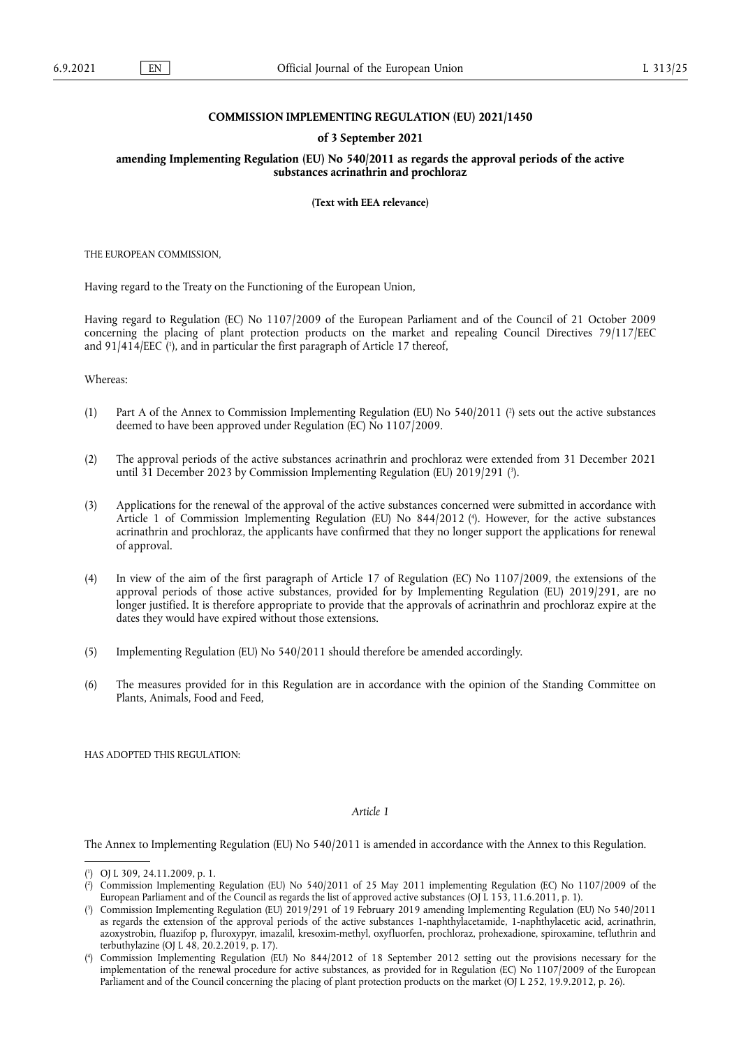## **COMMISSION IMPLEMENTING REGULATION (EU) 2021/1450**

### **of 3 September 2021**

**amending Implementing Regulation (EU) No 540/2011 as regards the approval periods of the active substances acrinathrin and prochloraz** 

**(Text with EEA relevance)** 

THE EUROPEAN COMMISSION,

Having regard to the Treaty on the Functioning of the European Union,

<span id="page-0-4"></span>Having regard to Regulation (EC) No 1107/2009 of the European Parliament and of the Council of 21 October 2009 concerning the placing of plant protection products on the market and repealing Council Directives 79/117/EEC and 91/414/EEC ('[\),](#page-0-0) and in particular the first paragraph of Article 17 thereof,

Whereas:

- <span id="page-0-5"></span>(1) Part A of the Annex to Commission Implementing Regulation (EU) No 540/2011 [\(](#page-0-1) 2 ) sets out the active substances deemed to have been approved under Regulation (EC) No 1107/2009.
- <span id="page-0-6"></span>(2) The approval periods of the active substances acrinathrin and prochloraz were extended from 31 December 2021 until 31 December 2023 by Commission Implementing Regulation (EU) 2019/291 [\(](#page-0-2) 3 ).
- <span id="page-0-7"></span>(3) Applications for the renewal of the approval of the active substances concerned were submitted in accordance with Article 1 of Commission Implementing Regulation (EU) No 844/2012 ( 4 [\).](#page-0-3) However, for the active substances acrinathrin and prochloraz, the applicants have confirmed that they no longer support the applications for renewal of approval.
- (4) In view of the aim of the first paragraph of Article 17 of Regulation (EC) No 1107/2009, the extensions of the approval periods of those active substances, provided for by Implementing Regulation (EU) 2019/291, are no longer justified. It is therefore appropriate to provide that the approvals of acrinathrin and prochloraz expire at the dates they would have expired without those extensions.
- (5) Implementing Regulation (EU) No 540/2011 should therefore be amended accordingly.
- (6) The measures provided for in this Regulation are in accordance with the opinion of the Standing Committee on Plants, Animals, Food and Feed,

HAS ADOPTED THIS REGULATION:

#### *Article 1*

The Annex to Implementing Regulation (EU) No 540/2011 is amended in accordance with the Annex to this Regulation.

<span id="page-0-0"></span>[<sup>\(</sup>](#page-0-4) 1 ) OJ L 309, 24.11.2009, p. 1.

<span id="page-0-1"></span>[<sup>\(</sup>](#page-0-5) 2 ) Commission Implementing Regulation (EU) No 540/2011 of 25 May 2011 implementing Regulation (EC) No 1107/2009 of the European Parliament and of the Council as regards the list of approved active substances (OJ L 153, 11.6.2011, p. 1).

<span id="page-0-2"></span>[<sup>\(</sup>](#page-0-6) 3 ) Commission Implementing Regulation (EU) 2019/291 of 19 February 2019 amending Implementing Regulation (EU) No 540/2011 as regards the extension of the approval periods of the active substances 1-naphthylacetamide, 1-naphthylacetic acid, acrinathrin, azoxystrobin, fluazifop p, fluroxypyr, imazalil, kresoxim-methyl, oxyfluorfen, prochloraz, prohexadione, spiroxamine, tefluthrin and terbuthylazine (OJ L 48, 20.2.2019, p. 17).

<span id="page-0-3"></span>[<sup>\(</sup>](#page-0-7) 4 ) Commission Implementing Regulation (EU) No 844/2012 of 18 September 2012 setting out the provisions necessary for the implementation of the renewal procedure for active substances, as provided for in Regulation (EC) No 1107/2009 of the European Parliament and of the Council concerning the placing of plant protection products on the market (OJ L 252, 19.9.2012, p. 26).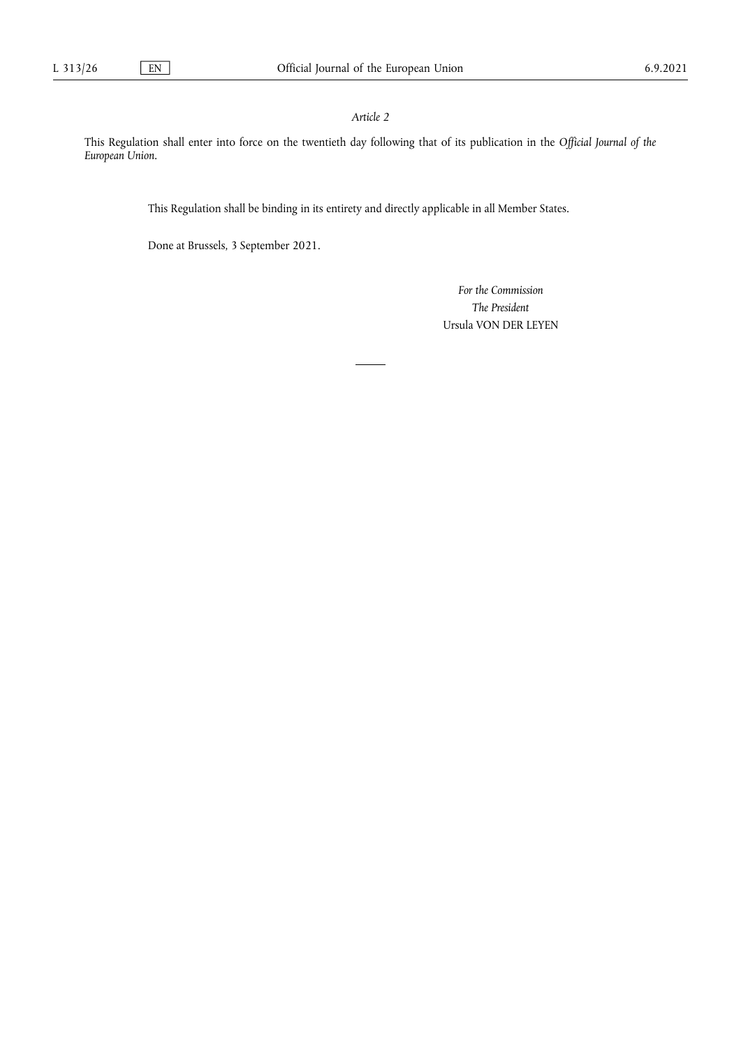# *Article 2*

This Regulation shall enter into force on the twentieth day following that of its publication in the *Official Journal of the European Union*.

This Regulation shall be binding in its entirety and directly applicable in all Member States.

Done at Brussels, 3 September 2021.

*For the Commission The President* Ursula VON DER LEYEN